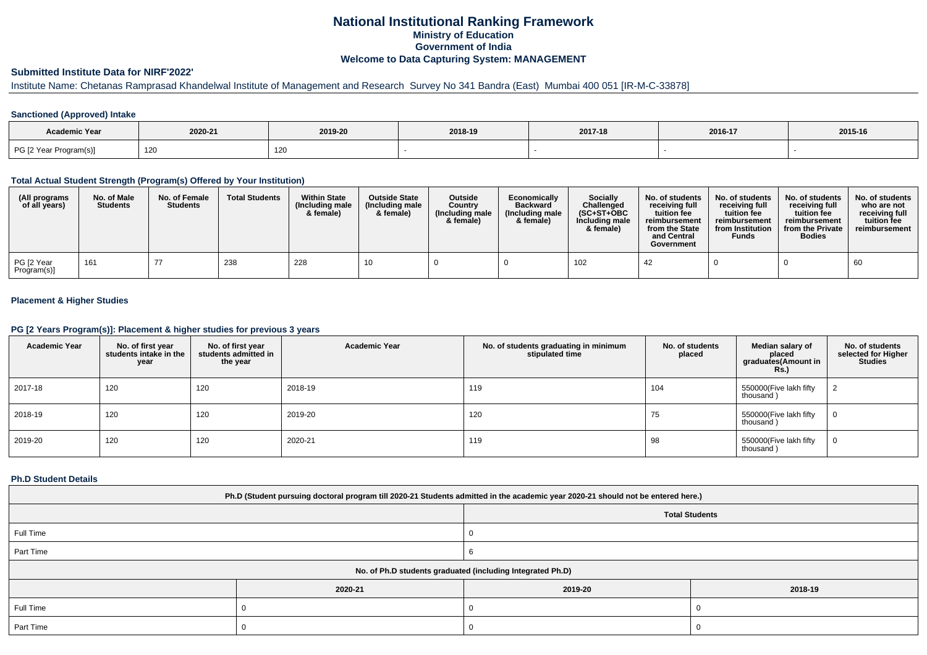# **National Institutional Ranking FrameworkMinistry of Education Government of IndiaWelcome to Data Capturing System: MANAGEMENT**

# **Submitted Institute Data for NIRF'2022'**

# Institute Name: Chetanas Ramprasad Khandelwal Institute of Management and Research Survey No 341 Bandra (East) Mumbai 400 051 [IR-M-C-33878]

## **Sanctioned (Approved) Intake**

| <b>Academic Year</b>   | 2020-21 | 2019-20 | 2018-19 | 2017-18 | 2016-17 | 2015-16 |
|------------------------|---------|---------|---------|---------|---------|---------|
| PG [2 Year Program(s)] | 120     | า∠เ     |         |         |         |         |

#### **Total Actual Student Strength (Program(s) Offered by Your Institution)**

| (All programs<br>of all years) | No. of Male<br><b>Students</b> | No. of Female<br><b>Students</b> | <b>Total Students</b> | <b>Within State</b><br>(Including male<br>& female) | <b>Outside State</b><br>(Including male<br>& female) | <b>Outside</b><br>Country<br>(Including male<br>& female) | Economically<br><b>Backward</b><br>(Including male<br>& female) | <b>Socially</b><br>Challenged<br>$(SC+ST+OBC$<br>Including male<br>& female) | No. of students<br>receivina full<br>tuition fee<br>reimbursement<br>from the State<br>and Central<br>Government | No. of students<br>receiving full<br>tuition fee<br>reimbursement<br>from Institution<br><b>Funds</b> | No. of students<br>receiving full<br>tuition fee<br>reimbursement<br>from the Private<br><b>Bodies</b> | No. of students<br>who are not<br>receiving full<br>tuition fee<br>reimbursement |
|--------------------------------|--------------------------------|----------------------------------|-----------------------|-----------------------------------------------------|------------------------------------------------------|-----------------------------------------------------------|-----------------------------------------------------------------|------------------------------------------------------------------------------|------------------------------------------------------------------------------------------------------------------|-------------------------------------------------------------------------------------------------------|--------------------------------------------------------------------------------------------------------|----------------------------------------------------------------------------------|
| PG [2 Year<br>Program(s)]      | 161                            | 77                               | 238                   | 228                                                 |                                                      |                                                           |                                                                 | 102                                                                          | -42                                                                                                              |                                                                                                       |                                                                                                        | 60                                                                               |

## **Placement & Higher Studies**

#### **PG [2 Years Program(s)]: Placement & higher studies for previous 3 years**

| <b>Academic Year</b> | No. of first year<br>students intake in the<br>year | No. of first vear<br>students admitted in<br>the year | <b>Academic Year</b> | No. of students graduating in minimum<br>stipulated time | No. of students<br>placed | Median salary of<br>placed<br>graduates(Amount in<br><b>Rs.)</b> | No. of students<br>selected for Higher<br><b>Studies</b> |
|----------------------|-----------------------------------------------------|-------------------------------------------------------|----------------------|----------------------------------------------------------|---------------------------|------------------------------------------------------------------|----------------------------------------------------------|
| 2017-18              | 120                                                 | 120                                                   | 2018-19              | 119                                                      | 104                       | 550000(Five lakh fifty<br>thousand)                              |                                                          |
| 2018-19              | 120                                                 | 120                                                   | 2019-20              | 120                                                      | 75                        | 550000(Five lakh fifty<br>thousand)                              | 0                                                        |
| 2019-20              | 120                                                 | 120                                                   | 2020-21              | 119                                                      | 98                        | 550000(Five lakh fifty<br>thousand)                              | 0                                                        |

#### **Ph.D Student Details**

| Ph.D (Student pursuing doctoral program till 2020-21 Students admitted in the academic year 2020-21 should not be entered here.) |         |                                                            |         |  |  |  |  |
|----------------------------------------------------------------------------------------------------------------------------------|---------|------------------------------------------------------------|---------|--|--|--|--|
| <b>Total Students</b>                                                                                                            |         |                                                            |         |  |  |  |  |
| Full Time                                                                                                                        |         |                                                            |         |  |  |  |  |
| Part Time                                                                                                                        |         |                                                            |         |  |  |  |  |
|                                                                                                                                  |         | No. of Ph.D students graduated (including Integrated Ph.D) |         |  |  |  |  |
|                                                                                                                                  | 2020-21 | 2019-20                                                    | 2018-19 |  |  |  |  |
| Full Time                                                                                                                        |         |                                                            |         |  |  |  |  |
| Part Time                                                                                                                        |         |                                                            |         |  |  |  |  |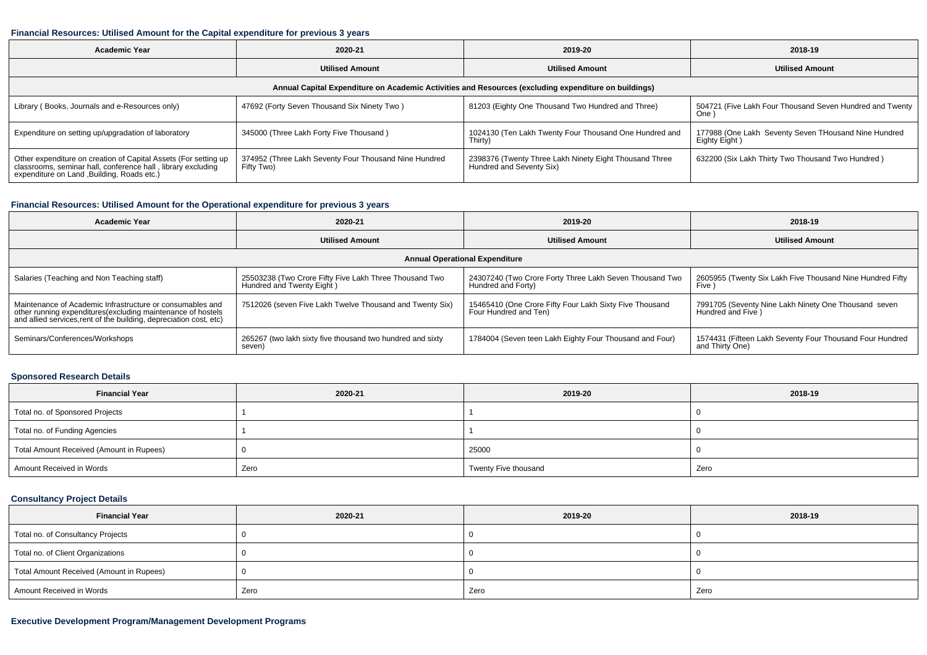#### **Financial Resources: Utilised Amount for the Capital expenditure for previous 3 years**

| <b>Academic Year</b><br>2020-21                                                                                                                                                |                                                                                                      | 2019-20                                                                            | 2018-19                                                               |  |  |  |  |  |  |
|--------------------------------------------------------------------------------------------------------------------------------------------------------------------------------|------------------------------------------------------------------------------------------------------|------------------------------------------------------------------------------------|-----------------------------------------------------------------------|--|--|--|--|--|--|
|                                                                                                                                                                                | <b>Utilised Amount</b>                                                                               |                                                                                    | <b>Utilised Amount</b>                                                |  |  |  |  |  |  |
|                                                                                                                                                                                | Annual Capital Expenditure on Academic Activities and Resources (excluding expenditure on buildings) |                                                                                    |                                                                       |  |  |  |  |  |  |
| Library (Books, Journals and e-Resources only)                                                                                                                                 | 47692 (Forty Seven Thousand Six Ninety Two)                                                          | 81203 (Eighty One Thousand Two Hundred and Three)                                  | 504721 (Five Lakh Four Thousand Seven Hundred and Twenty  <br>One)    |  |  |  |  |  |  |
| Expenditure on setting up/upgradation of laboratory                                                                                                                            | 345000 (Three Lakh Forty Five Thousand)                                                              | 1024130 (Ten Lakh Twenty Four Thousand One Hundred and<br>Thirty)                  | 177988 (One Lakh Seventy Seven THousand Nine Hundred<br>Eighty Eight) |  |  |  |  |  |  |
| Other expenditure on creation of Capital Assets (For setting up<br>classrooms, seminar hall, conference hall, library excluding<br>expenditure on Land , Building, Roads etc.) | 374952 (Three Lakh Seventy Four Thousand Nine Hundred<br>Fifty Two)                                  | 2398376 (Twenty Three Lakh Ninety Eight Thousand Three<br>Hundred and Seventy Six) | 632200 (Six Lakh Thirty Two Thousand Two Hundred)                     |  |  |  |  |  |  |

## **Financial Resources: Utilised Amount for the Operational expenditure for previous 3 years**

| Academic Year                                                                                                                                                                                  | 2020-21                                                                             | 2019-20                                                                          | 2018-19                                                                     |  |  |  |  |  |  |  |
|------------------------------------------------------------------------------------------------------------------------------------------------------------------------------------------------|-------------------------------------------------------------------------------------|----------------------------------------------------------------------------------|-----------------------------------------------------------------------------|--|--|--|--|--|--|--|
|                                                                                                                                                                                                | <b>Utilised Amount</b>                                                              |                                                                                  | <b>Utilised Amount</b>                                                      |  |  |  |  |  |  |  |
|                                                                                                                                                                                                | <b>Annual Operational Expenditure</b>                                               |                                                                                  |                                                                             |  |  |  |  |  |  |  |
| Salaries (Teaching and Non Teaching staff)                                                                                                                                                     | 25503238 (Two Crore Fifty Five Lakh Three Thousand Two<br>Hundred and Twenty Eight) | 24307240 (Two Crore Forty Three Lakh Seven Thousand Two<br>Hundred and Forty)    | 2605955 (Twenty Six Lakh Five Thousand Nine Hundred Fifty<br>Five )         |  |  |  |  |  |  |  |
| Maintenance of Academic Infrastructure or consumables and<br>other running expenditures(excluding maintenance of hostels<br>and allied services, rent of the building, depreciation cost, etc) | 7512026 (seven Five Lakh Twelve Thousand and Twenty Six)                            | 15465410 (One Crore Fifty Four Lakh Sixty Five Thousand<br>Four Hundred and Ten) | 7991705 (Seventy Nine Lakh Ninety One Thousand seven<br>Hundred and Five )  |  |  |  |  |  |  |  |
| Seminars/Conferences/Workshops                                                                                                                                                                 | 265267 (two lakh sixty five thousand two hundred and sixty<br>seven)                | 1784004 (Seven teen Lakh Eighty Four Thousand and Four)                          | 1574431 (Fifteen Lakh Seventy Four Thousand Four Hundred<br>and Thirty One) |  |  |  |  |  |  |  |

## **Sponsored Research Details**

| <b>Financial Year</b>                    | 2020-21 | 2019-20              | 2018-19 |
|------------------------------------------|---------|----------------------|---------|
| Total no. of Sponsored Projects          |         |                      |         |
| Total no. of Funding Agencies            |         |                      |         |
| Total Amount Received (Amount in Rupees) |         | 25000                |         |
| Amount Received in Words                 | Zero    | Twenty Five thousand | Zero    |

## **Consultancy Project Details**

| <b>Financial Year</b>                    | 2020-21 | 2019-20 | 2018-19 |
|------------------------------------------|---------|---------|---------|
| Total no. of Consultancy Projects        |         |         |         |
| Total no. of Client Organizations        |         |         |         |
| Total Amount Received (Amount in Rupees) |         |         |         |
| Amount Received in Words                 | Zero    | Zero    | Zero    |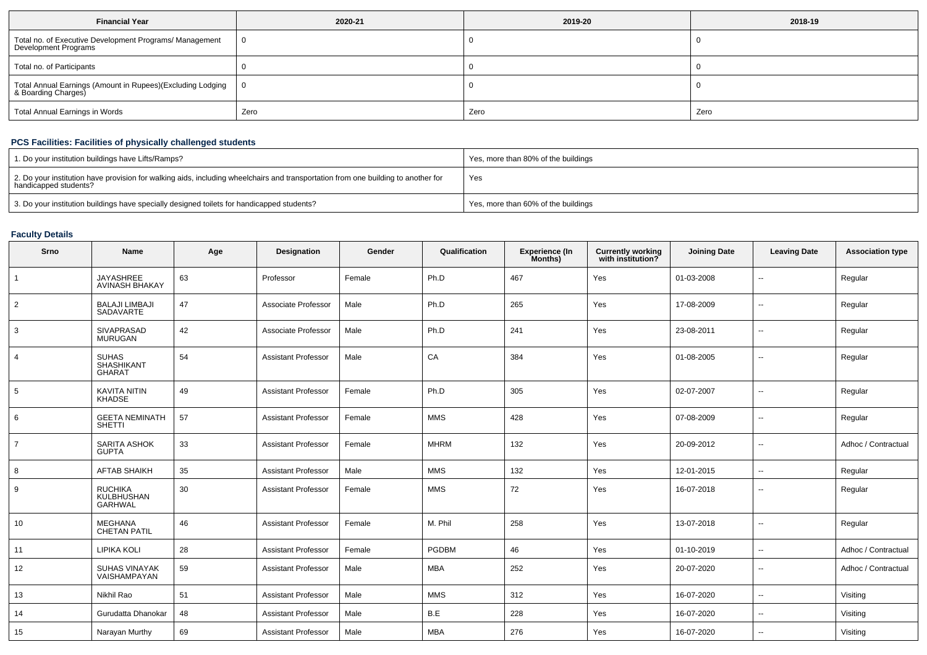| <b>Financial Year</b>                                                             | 2020-21 | 2019-20 | 2018-19 |  |
|-----------------------------------------------------------------------------------|---------|---------|---------|--|
| Total no. of Executive Development Programs/ Management<br>Development Programs   |         |         |         |  |
| Total no. of Participants                                                         |         |         |         |  |
| Total Annual Earnings (Amount in Rupees)(Excluding Lodging<br>& Boarding Charges) |         |         |         |  |
| <b>Total Annual Earnings in Words</b>                                             | Zero    | Zero    | Zero    |  |

## **PCS Facilities: Facilities of physically challenged students**

| 1. Do your institution buildings have Lifts/Ramps?                                                                                                         | Yes, more than 80% of the buildings |
|------------------------------------------------------------------------------------------------------------------------------------------------------------|-------------------------------------|
| 2. Do your institution have provision for walking aids, including wheelchairs and transportation from one building to another for<br>handicapped students? | Yes                                 |
| 3. Do your institution buildings have specially designed toilets for handicapped students?                                                                 | Yes, more than 60% of the buildings |

## **Faculty Details**

| Srno           | Name                                           | Age | Designation                | Gender | Qualification | <b>Experience (In</b><br>Months) | <b>Currently working</b><br>with institution? | <b>Joining Date</b> | <b>Leaving Date</b>      | <b>Association type</b> |
|----------------|------------------------------------------------|-----|----------------------------|--------|---------------|----------------------------------|-----------------------------------------------|---------------------|--------------------------|-------------------------|
| $\mathbf{1}$   | <b>JAYASHREE</b><br><b>AVINASH BHAKAY</b>      | 63  | Professor                  | Female | Ph.D          | 467                              | Yes                                           | 01-03-2008          | $\overline{\phantom{a}}$ | Regular                 |
| $\overline{2}$ | <b>BALAJI LIMBAJI</b><br>SADAVARTE             | 47  | Associate Professor        | Male   | Ph.D          | 265                              | Yes                                           | 17-08-2009          | $\overline{\phantom{a}}$ | Regular                 |
| 3              | SIVAPRASAD<br><b>MURUGAN</b>                   | 42  | Associate Professor        | Male   | Ph.D          | 241                              | Yes                                           | 23-08-2011          | $\overline{\phantom{a}}$ | Regular                 |
| 4              | <b>SUHAS</b><br><b>SHASHIKANT</b><br>GHARAT    | 54  | <b>Assistant Professor</b> | Male   | CA            | 384                              | Yes                                           | 01-08-2005          | $\overline{\phantom{a}}$ | Regular                 |
| 5              | <b>KAVITA NITIN</b><br><b>KHADSE</b>           | 49  | <b>Assistant Professor</b> | Female | Ph.D          | 305                              | Yes                                           | 02-07-2007          | $\overline{\phantom{a}}$ | Regular                 |
| 6              | <b>GEETA NEMINATH</b><br>SHETTI                | 57  | <b>Assistant Professor</b> | Female | <b>MMS</b>    | 428                              | Yes                                           | 07-08-2009          | $\overline{\phantom{a}}$ | Regular                 |
| $\overline{7}$ | SARITA ASHOK<br><b>GUPTA</b>                   | 33  | <b>Assistant Professor</b> | Female | <b>MHRM</b>   | 132                              | Yes                                           | 20-09-2012          | $\overline{\phantom{a}}$ | Adhoc / Contractual     |
| 8              | <b>AFTAB SHAIKH</b>                            | 35  | <b>Assistant Professor</b> | Male   | <b>MMS</b>    | 132                              | Yes                                           | 12-01-2015          | $\overline{\phantom{a}}$ | Regular                 |
| 9              | <b>RUCHIKA</b><br>KULBHUSHAN<br><b>GARHWAL</b> | 30  | <b>Assistant Professor</b> | Female | <b>MMS</b>    | 72                               | Yes                                           | 16-07-2018          | $\sim$                   | Regular                 |
| 10             | <b>MEGHANA</b><br><b>CHETAN PATIL</b>          | 46  | <b>Assistant Professor</b> | Female | M. Phil       | 258                              | Yes                                           | 13-07-2018          | $\overline{\phantom{a}}$ | Regular                 |
| 11             | <b>LIPIKA KOLI</b>                             | 28  | <b>Assistant Professor</b> | Female | PGDBM         | 46                               | Yes                                           | 01-10-2019          | $\overline{\phantom{a}}$ | Adhoc / Contractual     |
| 12             | <b>SUHAS VINAYAK</b><br>VAISHAMPAYAN           | 59  | <b>Assistant Professor</b> | Male   | <b>MBA</b>    | 252                              | Yes                                           | 20-07-2020          | $\overline{\phantom{a}}$ | Adhoc / Contractual     |
| 13             | Nikhil Rao                                     | 51  | <b>Assistant Professor</b> | Male   | <b>MMS</b>    | 312                              | Yes                                           | 16-07-2020          | $\overline{\phantom{a}}$ | Visiting                |
| 14             | Gurudatta Dhanokar                             | 48  | <b>Assistant Professor</b> | Male   | B.E           | 228                              | Yes                                           | 16-07-2020          | $\overline{\phantom{a}}$ | Visiting                |
| 15             | Narayan Murthy                                 | 69  | <b>Assistant Professor</b> | Male   | <b>MBA</b>    | 276                              | Yes                                           | 16-07-2020          | $\overline{\phantom{a}}$ | Visiting                |